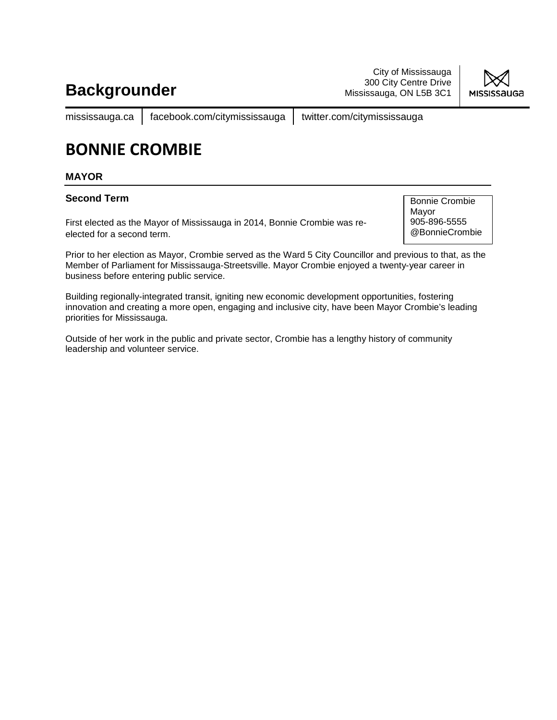City of Mississauga 300 City Centre Drive Mississauga, ON L5B 3C1



mississauga.ca | facebook.com/citymississauga | twitter.com/citymississauga

## **BONNIE CROMBIE**

#### **MAYOR**

#### **Second Term**

First elected as the Mayor of Mississauga in 2014, Bonnie Crombie was reelected for a second term.

Bonnie Crombie Mayor 905-896-5555 @BonnieCrombie

Prior to her election as Mayor, Crombie served as the Ward 5 City Councillor and previous to that, as the Member of Parliament for Mississauga-Streetsville. Mayor Crombie enjoyed a twenty-year career in business before entering public service.

Building regionally-integrated transit, igniting new economic development opportunities, fostering innovation and creating a more open, engaging and inclusive city, have been Mayor Crombie's leading priorities for Mississauga.

Outside of her work in the public and private sector, Crombie has a lengthy history of community leadership and volunteer service.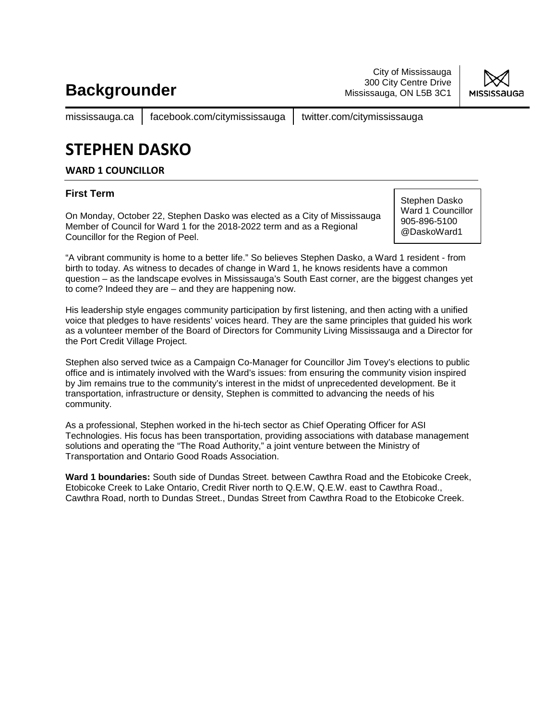City of Mississauga 300 City Centre Drive Mississauga, ON L5B 3C1



mississauga.ca | facebook.com/citymississauga | twitter.com/citymississauga

## **STEPHEN DASKO**

**WARD 1 COUNCILLOR**

### **First Term**

On Monday, October 22, Stephen Dasko was elected as a City of Mississauga Member of Council for Ward 1 for the 2018-2022 term and as a Regional Councillor for the Region of Peel.

Stephen Dasko Ward 1 Councillor 905-896-5100 @DaskoWard1

"A vibrant community is home to a better life." So believes Stephen Dasko, a Ward 1 resident - from birth to today. As witness to decades of change in Ward 1, he knows residents have a common question – as the landscape evolves in Mississauga's South East corner, are the biggest changes yet to come? Indeed they are – and they are happening now.

His leadership style engages community participation by first listening, and then acting with a unified voice that pledges to have residents' voices heard. They are the same principles that guided his work as a volunteer member of the Board of Directors for Community Living Mississauga and a Director for the Port Credit Village Project.

Stephen also served twice as a Campaign Co-Manager for Councillor Jim Tovey's elections to public office and is intimately involved with the Ward's issues: from ensuring the community vision inspired by Jim remains true to the community's interest in the midst of unprecedented development. Be it transportation, infrastructure or density, Stephen is committed to advancing the needs of his community.

As a professional, Stephen worked in the hi-tech sector as Chief Operating Officer for ASI Technologies. His focus has been transportation, providing associations with database management solutions and operating the "The Road Authority," a joint venture between the Ministry of Transportation and Ontario Good Roads Association.

**Ward 1 boundaries:** South side of Dundas Street. between Cawthra Road and the Etobicoke Creek, Etobicoke Creek to Lake Ontario, Credit River north to Q.E.W, Q.E.W. east to Cawthra Road., Cawthra Road, north to Dundas Street., Dundas Street from Cawthra Road to the Etobicoke Creek.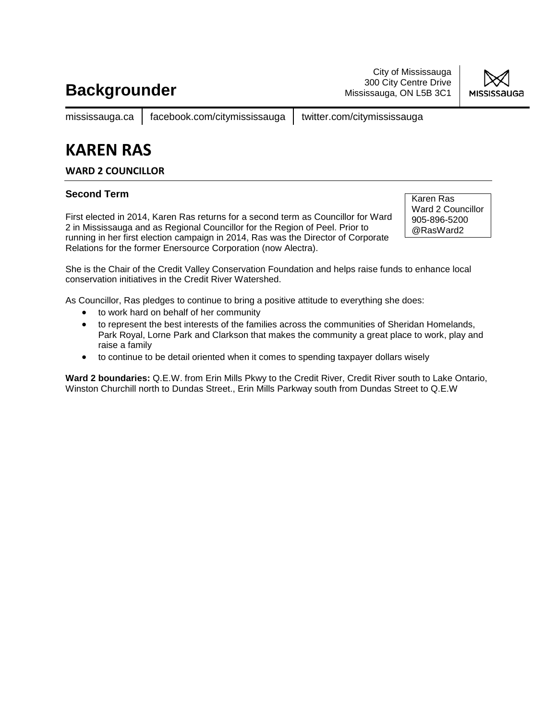City of Mississauga 300 City Centre Drive Mississauga, ON L5B 3C1



mississauga.ca | facebook.com/citymississauga | twitter.com/citymississauga

### **KAREN RAS**

### **WARD 2 COUNCILLOR**

### **Second Term**

First elected in 2014, Karen Ras returns for a second term as Councillor for Ward 2 in Mississauga and as Regional Councillor for the Region of Peel. Prior to running in her first election campaign in 2014, Ras was the Director of Corporate Relations for the former Enersource Corporation (now Alectra).

Karen Ras Ward 2 Councillor 905-896-5200 @RasWard2

She is the Chair of the Credit Valley Conservation Foundation and helps raise funds to enhance local conservation initiatives in the Credit River Watershed.

As Councillor, Ras pledges to continue to bring a positive attitude to everything she does:

- to work hard on behalf of her community
- to represent the best interests of the families across the communities of Sheridan Homelands, Park Royal, Lorne Park and Clarkson that makes the community a great place to work, play and raise a family
- to continue to be detail oriented when it comes to spending taxpayer dollars wisely

**Ward 2 boundaries:** Q.E.W. from Erin Mills Pkwy to the Credit River, Credit River south to Lake Ontario, Winston Churchill north to Dundas Street., Erin Mills Parkway south from Dundas Street to Q.E.W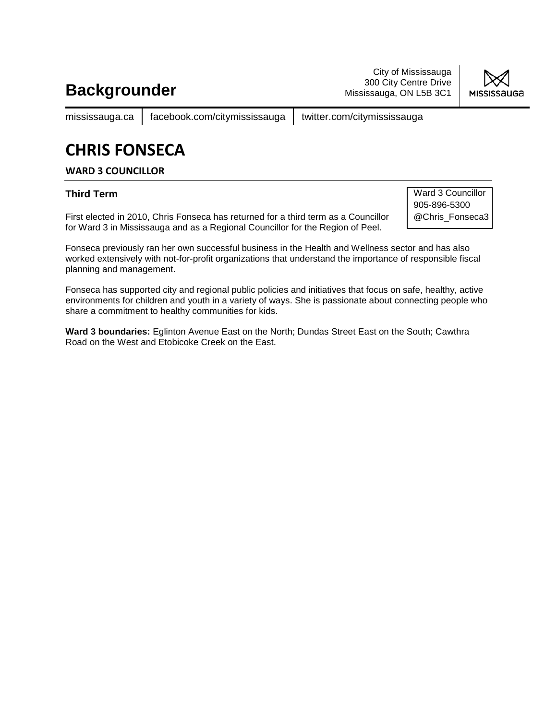City of Mississauga 300 City Centre Drive Mississauga, ON L5B 3C1



mississauga.ca | facebook.com/citymississauga | twitter.com/citymississauga

# **CHRIS FONSECA**

#### **WARD 3 COUNCILLOR**

### **Third Term**

First elected in 2010, Chris Fonseca has returned for a third term as a Councillor for Ward 3 in Mississauga and as a Regional Councillor for the Region of Peel.

Ward 3 Councillor 905-896-5300 @Chris\_Fonseca3

Fonseca previously ran her own successful business in the Health and Wellness sector and has also worked extensively with not-for-profit organizations that understand the importance of responsible fiscal planning and management.

Fonseca has supported city and regional public policies and initiatives that focus on safe, healthy, active environments for children and youth in a variety of ways. She is passionate about connecting people who share a commitment to healthy communities for kids.

**Ward 3 boundaries:** Eglinton Avenue East on the North; Dundas Street East on the South; Cawthra Road on the West and Etobicoke Creek on the East.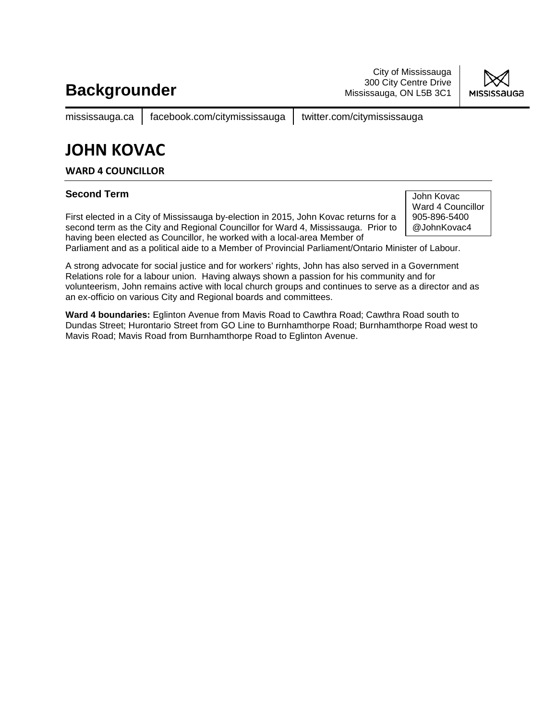City of Mississauga 300 City Centre Drive Mississauga, ON L5B 3C1



mississauga.ca | facebook.com/citymississauga | twitter.com/citymississauga

## **JOHN KOVAC**

**WARD 4 COUNCILLOR**

#### **Second Term**

First elected in a City of Mississauga by-election in 2015, John Kovac returns for a second term as the City and Regional Councillor for Ward 4, Mississauga. Prior to having been elected as Councillor, he worked with a local-area Member of

John Kovac Ward 4 Councillor 905-896-5400 @JohnKovac4

Parliament and as a political aide to a Member of Provincial Parliament/Ontario Minister of Labour.

A strong advocate for social justice and for workers' rights, John has also served in a Government Relations role for a labour union. Having always shown a passion for his community and for volunteerism, John remains active with local church groups and continues to serve as a director and as an ex-officio on various City and Regional boards and committees.

**Ward 4 boundaries:** Eglinton Avenue from Mavis Road to Cawthra Road; Cawthra Road south to Dundas Street; Hurontario Street from GO Line to Burnhamthorpe Road; Burnhamthorpe Road west to Mavis Road; Mavis Road from Burnhamthorpe Road to Eglinton Avenue.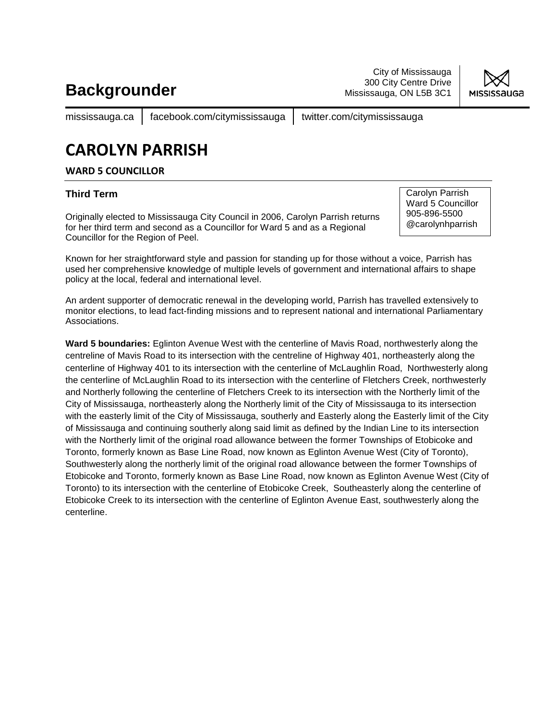City of Mississauga 300 City Centre Drive Mississauga, ON L5B 3C1



mississauga.ca | facebook.com/citymississauga | twitter.com/citymississauga

# **CAROLYN PARRISH**

### **WARD 5 COUNCILLOR**

#### **Third Term**

Originally elected to Mississauga City Council in 2006, Carolyn Parrish returns for her third term and second as a Councillor for Ward 5 and as a Regional Councillor for the Region of Peel.

Carolyn Parrish Ward 5 Councillor 905-896-5500 @carolynhparrish

Known for her straightforward style and passion for standing up for those without a voice, Parrish has used her comprehensive knowledge of multiple levels of government and international affairs to shape policy at the local, federal and international level.

An ardent supporter of democratic renewal in the developing world, Parrish has travelled extensively to monitor elections, to lead fact-finding missions and to represent national and international Parliamentary Associations.

**Ward 5 boundaries:** Eglinton Avenue West with the centerline of Mavis Road, northwesterly along the centreline of Mavis Road to its intersection with the centreline of Highway 401, northeasterly along the centerline of Highway 401 to its intersection with the centerline of McLaughlin Road, Northwesterly along the centerline of McLaughlin Road to its intersection with the centerline of Fletchers Creek, northwesterly and Northerly following the centerline of Fletchers Creek to its intersection with the Northerly limit of the City of Mississauga, northeasterly along the Northerly limit of the City of Mississauga to its intersection with the easterly limit of the City of Mississauga, southerly and Easterly along the Easterly limit of the City of Mississauga and continuing southerly along said limit as defined by the Indian Line to its intersection with the Northerly limit of the original road allowance between the former Townships of Etobicoke and Toronto, formerly known as Base Line Road, now known as Eglinton Avenue West (City of Toronto), Southwesterly along the northerly limit of the original road allowance between the former Townships of Etobicoke and Toronto, formerly known as Base Line Road, now known as Eglinton Avenue West (City of Toronto) to its intersection with the centerline of Etobicoke Creek, Southeasterly along the centerline of Etobicoke Creek to its intersection with the centerline of Eglinton Avenue East, southwesterly along the centerline.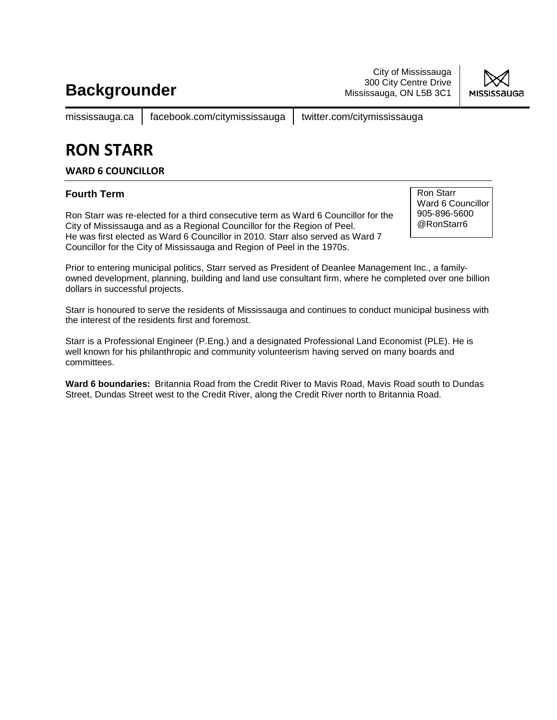City of Mississauga 300 City Centre Drive Mississauga, ON L5B 3C1



mississauga.ca | facebook.com/citymississauga | twitter.com/citymississauga

# **RON STARR**

### **WARD 6 COUNCILLOR**

### **Fourth Term**

Ron Starr was re-elected for a third consecutive term as Ward 6 Councillor for the City of Mississauga and as a Regional Councillor for the Region of Peel. He was first elected as Ward 6 Councillor in 2010. Starr also served as Ward 7 Councillor for the City of Mississauga and Region of Peel in the 1970s.

Ron Starr Ward 6 Councillor 905-896-5600 @RonStarr6

Prior to entering municipal politics, Starr served as President of Deanlee Management Inc., a familyowned development, planning, building and land use consultant firm, where he completed over one billion dollars in successful projects.

Starr is honoured to serve the residents of Mississauga and continues to conduct municipal business with the interest of the residents first and foremost.

Starr is a Professional Engineer (P.Eng.) and a designated Professional Land Economist (PLE). He is well known for his philanthropic and community volunteerism having served on many boards and committees.

**Ward 6 boundaries:** Britannia Road from the Credit River to Mavis Road, Mavis Road south to Dundas Street, Dundas Street west to the Credit River, along the Credit River north to Britannia Road.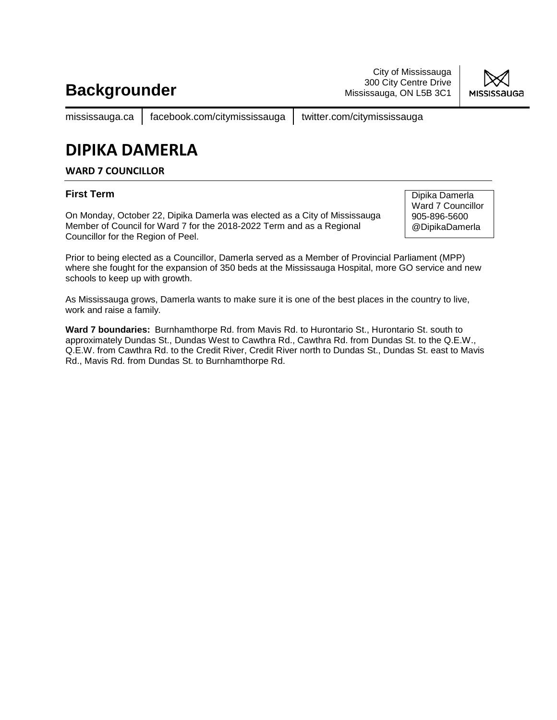City of Mississauga 300 City Centre Drive Mississauga, ON L5B 3C1



mississauga.ca | facebook.com/citymississauga | twitter.com/citymississauga

# **DIPIKA DAMERLA**

### **WARD 7 COUNCILLOR**

### **First Term**

On Monday, October 22, Dipika Damerla was elected as a City of Mississauga Member of Council for Ward 7 for the 2018-2022 Term and as a Regional Councillor for the Region of Peel.

Dipika Damerla Ward 7 Councillor 905-896-5600 @DipikaDamerla

Prior to being elected as a Councillor, Damerla served as a Member of Provincial Parliament (MPP) where she fought for the expansion of 350 beds at the Mississauga Hospital, more GO service and new schools to keep up with growth.

As Mississauga grows, Damerla wants to make sure it is one of the best places in the country to live, work and raise a family.

**Ward 7 boundaries:** Burnhamthorpe Rd. from Mavis Rd. to Hurontario St., Hurontario St. south to approximately Dundas St., Dundas West to Cawthra Rd., Cawthra Rd. from Dundas St. to the Q.E.W., Q.E.W. from Cawthra Rd. to the Credit River, Credit River north to Dundas St., Dundas St. east to Mavis Rd., Mavis Rd. from Dundas St. to Burnhamthorpe Rd.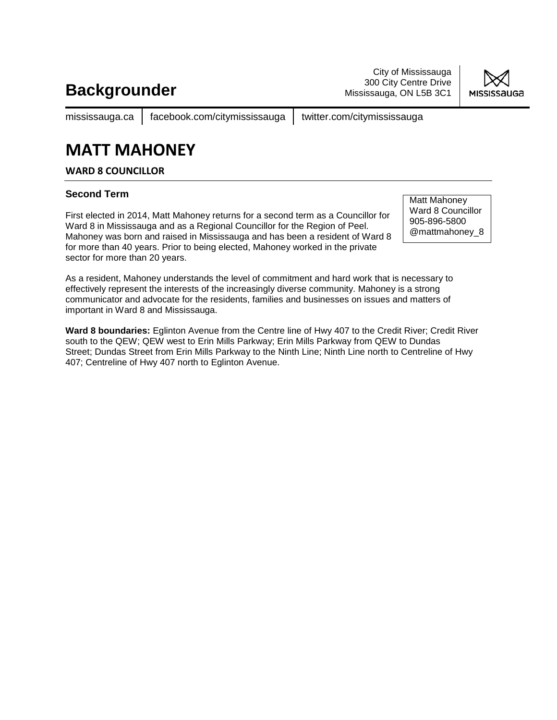City of Mississauga 300 City Centre Drive Mississauga, ON L5B 3C1



mississauga.ca | facebook.com/citymississauga | twitter.com/citymississauga

### **MATT MAHONEY**

**WARD 8 COUNCILLOR**

### **Second Term**

First elected in 2014, Matt Mahoney returns for a second term as a Councillor for Ward 8 in Mississauga and as a Regional Councillor for the Region of Peel. Mahoney was born and raised in Mississauga and has been a resident of Ward 8 for more than 40 years. Prior to being elected, Mahoney worked in the private sector for more than 20 years.

Matt Mahoney Ward 8 Councillor 905-896-5800 @mattmahoney\_8

As a resident, Mahoney understands the level of commitment and hard work that is necessary to effectively represent the interests of the increasingly diverse community. Mahoney is a strong communicator and advocate for the residents, families and businesses on issues and matters of important in Ward 8 and Mississauga.

**Ward 8 boundaries:** Eglinton Avenue from the Centre line of Hwy 407 to the Credit River; Credit River south to the QEW; QEW west to Erin Mills Parkway; Erin Mills Parkway from QEW to Dundas Street; Dundas Street from Erin Mills Parkway to the Ninth Line; Ninth Line north to Centreline of Hwy 407; Centreline of Hwy 407 north to Eglinton Avenue.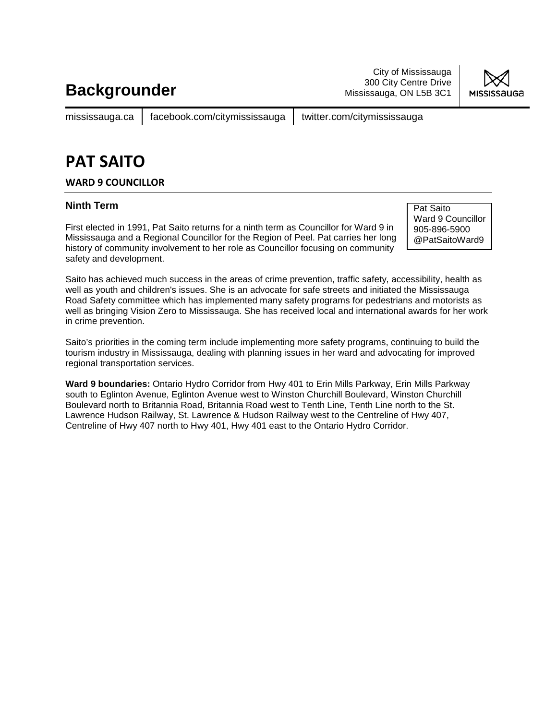City of Mississauga 300 City Centre Drive Mississauga, ON L5B 3C1



mississauga.ca | facebook.com/citymississauga | twitter.com/citymississauga

## **PAT SAITO**

### **WARD 9 COUNCILLOR**

#### **Ninth Term**

First elected in 1991, Pat Saito returns for a ninth term as Councillor for Ward 9 in Mississauga and a Regional Councillor for the Region of Peel. Pat carries her long history of community involvement to her role as Councillor focusing on community safety and development.

Pat Saito Ward 9 Councillor 905-896-5900 @PatSaitoWard9

Saito has achieved much success in the areas of crime prevention, traffic safety, accessibility, health as well as youth and children's issues. She is an advocate for safe streets and initiated the Mississauga Road Safety committee which has implemented many safety programs for pedestrians and motorists as well as bringing Vision Zero to Mississauga. She has received local and international awards for her work in crime prevention.

Saito's priorities in the coming term include implementing more safety programs, continuing to build the tourism industry in Mississauga, dealing with planning issues in her ward and advocating for improved regional transportation services.

**Ward 9 boundaries:** Ontario Hydro Corridor from Hwy 401 to Erin Mills Parkway, Erin Mills Parkway south to Eglinton Avenue, Eglinton Avenue west to Winston Churchill Boulevard, Winston Churchill Boulevard north to Britannia Road, Britannia Road west to Tenth Line, Tenth Line north to the St. Lawrence Hudson Railway, St. Lawrence & Hudson Railway west to the Centreline of Hwy 407, Centreline of Hwy 407 north to Hwy 401, Hwy 401 east to the Ontario Hydro Corridor.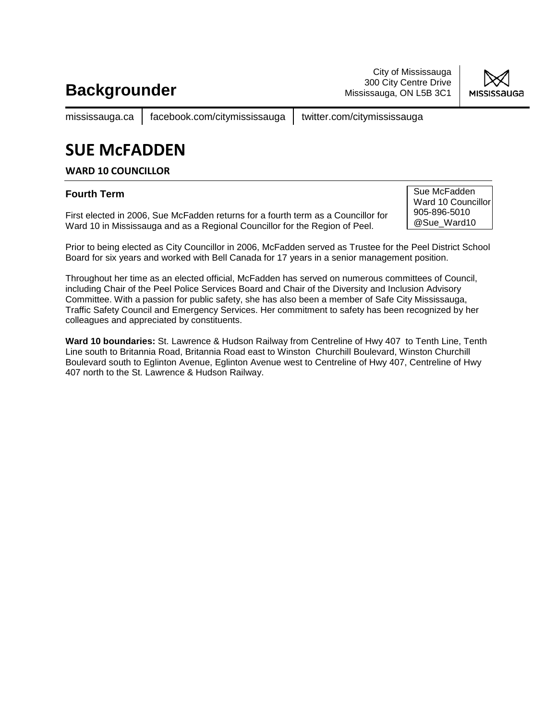City of Mississauga 300 City Centre Drive Mississauga, ON L5B 3C1



mississauga.ca | facebook.com/citymississauga | twitter.com/citymississauga

# **SUE McFADDEN**

#### **WARD 10 COUNCILLOR**

### **Fourth Term**

First elected in 2006, Sue McFadden returns for a fourth term as a Councillor for Ward 10 in Mississauga and as a Regional Councillor for the Region of Peel.

Sue McFadden Ward 10 Councillor 905-896-5010 @Sue\_Ward10

Prior to being elected as City Councillor in 2006, McFadden served as Trustee for the Peel District School Board for six years and worked with Bell Canada for 17 years in a senior management position.

Throughout her time as an elected official, McFadden has served on numerous committees of Council, including Chair of the Peel Police Services Board and Chair of the Diversity and Inclusion Advisory Committee. With a passion for public safety, she has also been a member of Safe City Mississauga, Traffic Safety Council and Emergency Services. Her commitment to safety has been recognized by her colleagues and appreciated by constituents.

**Ward 10 boundaries:** St. Lawrence & Hudson Railway from Centreline of Hwy 407 to Tenth Line, Tenth Line south to Britannia Road, Britannia Road east to Winston Churchill Boulevard, Winston Churchill Boulevard south to Eglinton Avenue, Eglinton Avenue west to Centreline of Hwy 407, Centreline of Hwy 407 north to the St. Lawrence & Hudson Railway.